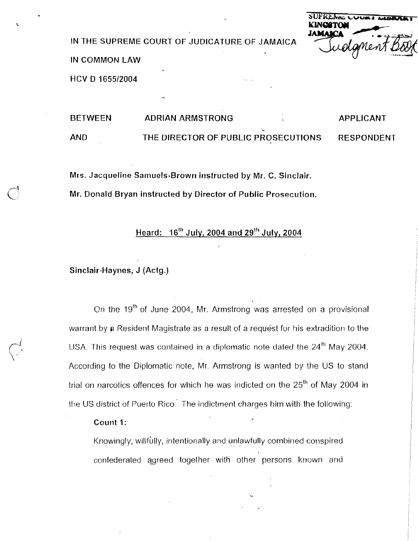IN THE SUPREME COURT OF JUDICATURE OF JAMAICA

IN COMMON LAW

HCV D 1655/2004

| <b>BETWEEN</b> | <b>ADRIAN ARMSTRONG</b>             | APPLICANT         |
|----------------|-------------------------------------|-------------------|
| <b>AND</b>     | THE DIRECTOR OF PUBLIC PROSECUTIONS | <b>RESPONDENT</b> |

Mrs. Jacqueline Samuels-Brown instructed by Mr. C. Sinclair. Mr. Donald Bryan instructed by Director of Public Prosecution.

# Heard: 16"' July, 2004 and **29Ih** July, 2004

### Sinclair-Haynes, J (Actg.)

On the 19<sup>th</sup> of June 2004, Mr. Armstrong was arrested on a provisional warrant by a Resident Magistrate as a result of a request for his extradition to the USA. This request was contained in a diplomatic note dated the  $24<sup>th</sup>$  May 2004. According to the Diplornatic nole, Mr. Armstrong is wanted by the US to stand trial on narcotics offences for which he was indicted on the  $25<sup>th</sup>$  of May 2004 in the US district of Puerto Rico. The indictment charges him with the following:

#### Count I:

Knowingly, willfully, intentionally and unlawfully combined conspired confederated agreed together with other persons known and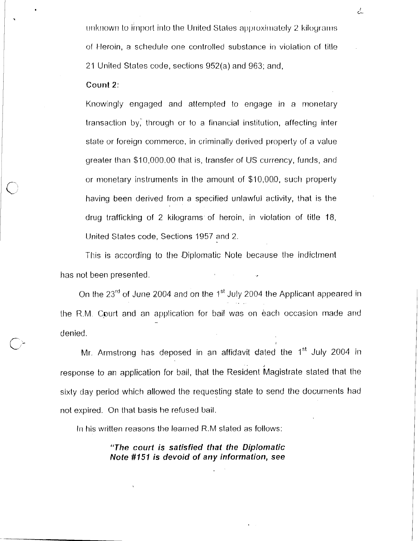$r$ unknown to import into the United States approximately 2 kilograms of Heroin, a schedule one controlled substance in violation of title. 21 United States code, sections 952(a) and 963; and,

### **Count 2:**

Knowingly engaged and atternpted to engage in a monetary transaction by: through or to a financial institution, affecting inter slate or foreign commerce, in criminally derived property of a value yrealer than \$10,000.00 that is, transfer of US currency, funds, and or monetary instruments in the amount of \$10,000, such property having been derived from a specified unlawful activity, that is the drug trafficking of 2 kilograms of heroin, in violation of title 18, United States code, Sections 1957 and 2.

This is according to the Diplomatic Note because the indictment has not been presented. *I.* 

On the  $23^{rd}$  of June 2004 and on the 1<sup>st</sup> July 2004 the Applicant appeared in the R.M. Court and an application for bail was on each occasion made and **4**  denied

Mr. Armstrong has deposed in an affidavit dated the  $1<sup>st</sup>$  July 2004 in response to an application for bail, that the Resident Magistrate stated that the sixty day period which allowed the requesting state to send the documents had not expired. On that basis he refused bail.

In his written reasons the learned R.M stated as follows:

"The court is satisfied that the Diplomatic **Note #I51 is devoid of any information, see**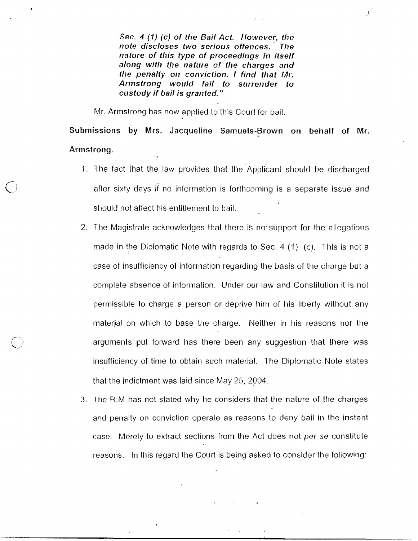Sec. 4 (1) (c) of the Bail Act. However, the **rtote discloses two serious offences. Tile**  nature of this type of proceedings in itself along with the nature of the charges and the penalty on conviction. I find that Mr. **Arrnstrong would fail to surrerider to custody if bail is granted.** "

3

Mr. Armstrong has now applied to this Court for bail.

Submissions by Mrs. Jacqueline Samuels-Brown on behalf of Mr. Arrnstrong.

- 1. The fact that the law provides that the Applicant should be discharged after sixty days if no inlormation is forlhcoming is a separate issue and I should not affect his entitlement to bail. **<sup>L</sup>**
- 2. The Magistrate acknowledges that there is no'support for the allegations made in the Diplomatic Note with regards to Sec. 4 (1) (c). This is not a case of insufficiency of information regarding the basis of the charge but a complete absence of information. Under our law and Constitution it is not permissible to charge a person or deprive Iiim of his liberty without any material on which to base the charge. Neither in his reasons nor the arguments put forward has there been any suggestion that there was insufficiency of time to obtain such material. The Diplomatic Note states that the indictment was laid since May 25, 2004. **<sup>4</sup>**
- 3. The R.M has not stated why he considers that the nature of the charges and penalty on conviction operale as reasons to deny bail in the instant case. Merely to extract sections from the Act does not per se constitute reasons. In this regard the Court is being asked to consider the following: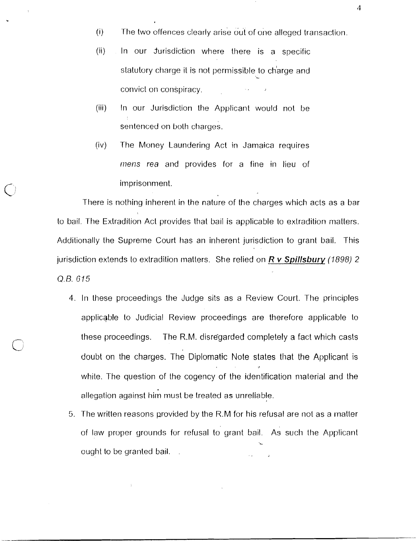- $(i)$  The two offences clearly arise out of one alleged transaction.
- (ii) In our Jurisdiction where there is a specific statutory charge it is not permissible to charge and convict on conspiracy.
- (iii) In our Jurisdiction the Applicant would not be sentenced on both charges.
- $(iv)$  The Money Laundering Act in Jamaica requires mens rea and provides for a fine in lieu of imprisonment.

There is nothing inherent in the nature of the charges which acts as a bar to bail. The Extradition Act provides that bail is applicable to extradition matters. Additionally the Suprerne Court has an inherent jurisdiction to grant bail. This jurisdiction extends to extradition matters. She relied on **R** v **Spillsbury** (1898) 2 Q.B. GI5

- 4. In these proceedings the Judge sits as a Review Court. The principles applicable to Judicial Review proceedings are therefore applicable to these proceedings. The R.M. disregarded completely a fact which casts doubt on the charges. The Diplomatic Note states that the Applicant is **r**  white. The question of the cogency of the identification material and the allegation against him must be treated as unreliable.
- 5. The written reasons provided by the R.M for his refusal are not as a rnatter of law proper grounds for refusal to grant bail. As such the Applicant **.L**  ought to be granted bail. **,**

 $\overline{4}$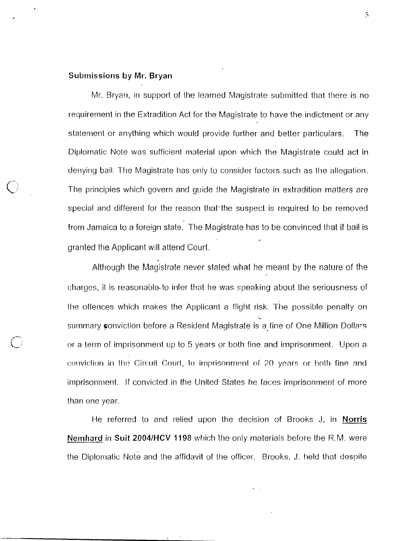### Submissions **by Mr. Bryan**

Mr. Bryan, in support of the learned Magistrate submitted that there is no requirement in the Extradition Act for the Magistrate to have the indictment or any statement or anything which would provide further and better particulars. The Diplomatic Note was sufficient material upon which the Magistrate could act in denying bail. The Magistrate has only to consider factors such as the allegation. The principles which govern and quide the Magistrate in extradition matters are special and different for the reason that the suspect is required to be removed from Jamaica to a foreign state. The Magistrate has to be convinced that if bail is granted the Applicant will attend Court.

Although the Magistrate never stated what he meant by the nature of the charges, it is reasonable-to infer that he was speaking about the seriousness of the offences which makes the Applicant a flight risk. The possible penalty on **L**  summary conviction before a Resident Magistrate is a fine of One Million Dollars or a term of imprisonment up to 5 years or both fine and imprisonment. Upon a conviction in the Circuit Court, to imprisonment of 20 years or both fine and imprisonment. If convicted in the United States he faces imprisonment of more than one year

t-ie referred to and relied upon the decision of Brooks J, in **Norris Nemhard in Suit 2004/HCV 1198** which the only materials before the R.M. were the Diplomatic Note and the affidavit of the officer. Brooks, J. held that despite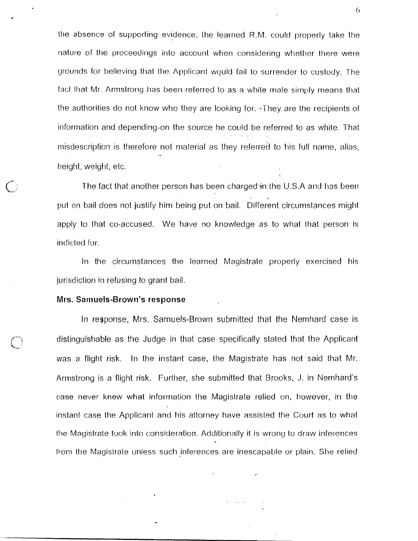tlie absence of supporting evidence, the learned R.M. could properly take the nature of the proceedings into account when considering whether there were grounds for believing that the Applicant would fail to surrender to custody. The fact that Mr. Armstrong has been referred to as a white male simply means that the authorities do not know who they are looking for. They are the recipients of information and depending on the source he could be referred to as white. That misdescription is therefore not material as they referred to his full name, alias, height, weight, etc.

The fact that anolher person has been charged'in the U.S.A and has beer) put on bail does not justify him being put on bail. Different circumstances might apply to that co-accused. We have no knowledge as to what that person is indicted for.

In the circumstances the learned Magistrate properly exercised his jurisdiction in refusing to grant bail.

#### **Mrs. Samuels-Brown's response**

In regponse, Mrs. Samuels-Brown submitted that the Nemhard case is distinguishable as the Judge in that case specifically stated that the Applicant was a flight risk. In the instant case, the Magistrate has not said that Mr. Armstrong is a flight risk. Further, she submitted that Brooks, J. in Nemhard's case never knew what information the Magistrate relied on, however, in the instant case the Applicant and his attorney have assisted the Court as to what the Magistrate took into consideration. Additionally it is wrong to draw inferences from the Magistrate unless such inferences are inescapable or plain. She relied

6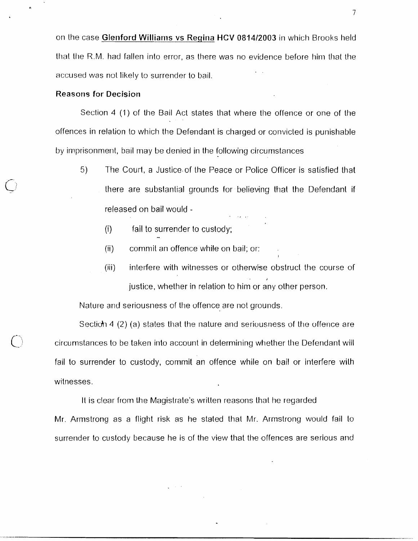on the case Glenford Williams vs Regina HCV 0814/2003 in which Brooks held that the R.M. had fallen into error, as there was no evidence before him that the accused was not likely to surrender to bail.

#### Reasons for Decision

Section 4 (1) of the Bail Act states that where the offence or one of the offences in relation to which the Defendant is charged or convicted is punishable by imprisonment, bail may be denied in the following circumstances

- 5) The Court, a Justice of the Peace or Police Officer is satisfied that there are substantial grounds for believing that the Defendant if released on bail would -
	- (i) fail to surrender to custody;
	- (ii) commit an offence while on bail; or:
	- (iii) interfere with witnesses or otherwise obstruct the course of **J**  justice, whether in relation to him or any other person.

Nature and seriousness of the offence are not grounds.

Section 4 (2) (a) states that the nature and seriousness of the offence are circumstances to be taken into account in determining whether the Deferidant will fail to surrender to custody, commit an offence while on bail or interfere wilh witnesses.

It is clear from the Magistrate's written reasons that he regarded Mr. Armstrong as a flight risk as he stated that Mr. Armstrong would fail to surrender to custody because he is of the view that the offences are serious and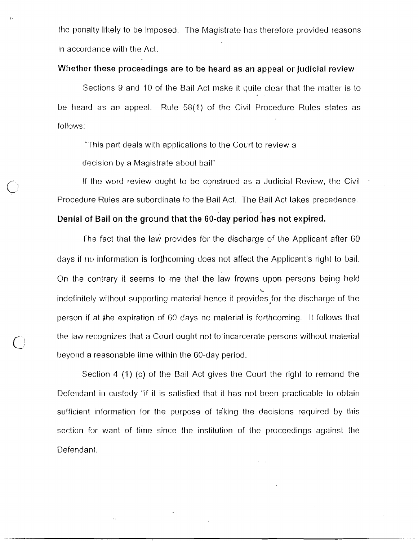the penally likely to be imposed. The Magistrate has therefore provided reasons in accordance wilh the Acl.

### **Whether these prvceedirigs are to be heard as an appeal or judicial review**

Sections 9 and 10 of the Bail Act make it quite clear that the matter is to be heard as an appeal. Rule 58(1) of the Civil Procedure Rules states as follows:

"This part deals with applications to the Court to review a

decision by a Magistrate about bail"

If the word review ought to be conslrued as a Judicial Review, !he Civil Procedure Rules are subordinate to the Bail Act. The Bail Act takes precedence.

## **Denial of Bail on the ground that the 60-day period iias not expired.**

The fact that the law provides for the discharge of the Applicant after 60 days if no information is forthcoming does not affect the Applicant's right to bail. On the contrary it seems to me that the law frowns upon persons being held **L**  indefinitely without supporting material hence it provides for the discharge of the person if at Ihe expiration of 60 days no malerial is forthcoming. It follows that the law recognizes that a Court ought not to incarcerate persons without material beyond a reasonable time within the 60-day period.

Section 4 (1) (c) of the Bail Act gives the Court the right to remand the Defendant in custody "if it is satisfied that it has not been practicable to obtain sufficient information for the purpose of taking the decisions required by this section for want of time since the institution of the proceedings against the Defendant.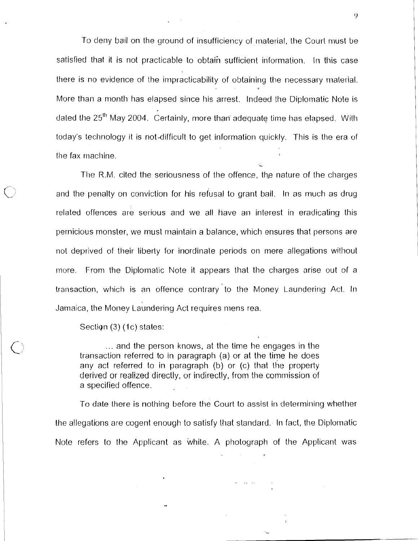To deny bail on the ground of insufficiency of material, the Court must be satisfied that it is not practicable to obtain sufficient information. In this case there is no evidence of the impracticability of obtaining the necessary material. More than a month has elapsed since his arrest. Indeed the Diplomatic Note is dated the 25"' May 2004. Certainly, more than adequate time has elapsed. With today's technology it is not-difficult to get information quickly. This is the era of the fax machine.

**L** 

The R.M. cited the seriousness of the offence, the nature of the charges and the penalty on conviction for his refusal to grant bail. In as much as drug related offences are serious and we all have an interest in eradicating this pernicious monster, we must maintain a balance, which ensures that persons are not deprived of their liberty for inordinate periods on mere allegations without more. From the Diplomatic Note it appears that the charges arise out of a transaction, which is an ofience contrary to the Money Laundering Act. In Jamaica, the Money Laundering Act requires niens rea.

Section (3) (1c) states:

... and the person knows, at the time he engages in the transaction referred to in paragraph (a) or at the time he does any act referred to in paragraph (b) or (c) that the property derived or realized directly, or indirectly, from the commission of a specified offence.

To date there is nothing before the Court to assist in determining whether the allegations are cogent enough to satisfy that standard. In fact, the Diplomatic Note refers to the Applicant as while. A photograph of the Applicant was

**Contract Contract** 

9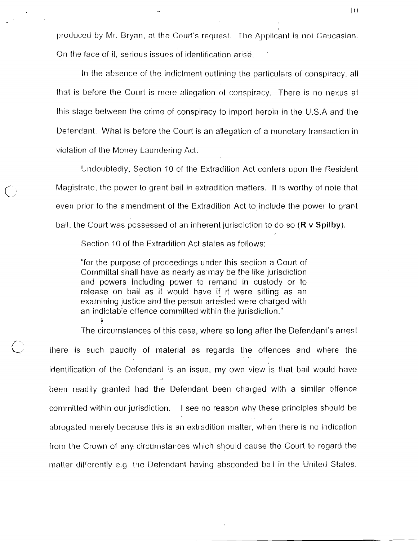produced by Mr. Bryan, at the Court's request. The Applicant is not Caucasian. On the face of it, serious issues of identification arise.

In the absence of the indictment outlining the particulars of conspiracy, all that is before the Court is mere allegation of conspiracy. There is no nexus at this stage between the crirne of conspiracy to import heroin in the U.S.A and the Defendant. What is before the Court is an allegation of a monetary transaction in violation of the Money Laundering Act.

Undoubtedly, Section 10 of the Extradition Act confers upon the Resident Magistrate, the power to grant bail in extradition matlers. It is worthy of note that even prior to the amendment of the Extradition Act to include the power to grant bail, the Court was possessed of an inherent jurisdiction to do so  $(R \text{ v} S\text{ pilby})$ .

Section 10 of the Extradition Act states as follows:

"for the purpose of proceedings under this section a Court of Committal shall have as nearly as may be the like jurisdiction and powers including power to remand in custody or to release on bail as it would have if it were sitting as an examining justice and the person arrested were charged with an indictable offence committed within the jurisdiction."<br>\*

The circurnstances of this case, where so long after the Defendant's arrest

there is such paucity of material as regards the offences and where the identification of the Defendant is an issue, my own view is that bail would have identification of the Defenda been readily granted had the Defendant been charged with a similar offence I committed within our jurisdiction. I see no reason why these principles should be **I**  abrogated merely because this is an extradition matter, when there is no indication from the Crown of any circurnstances which should cause the Court to regard the matter differently e.g. the Defendant having absconded bail in the United States.